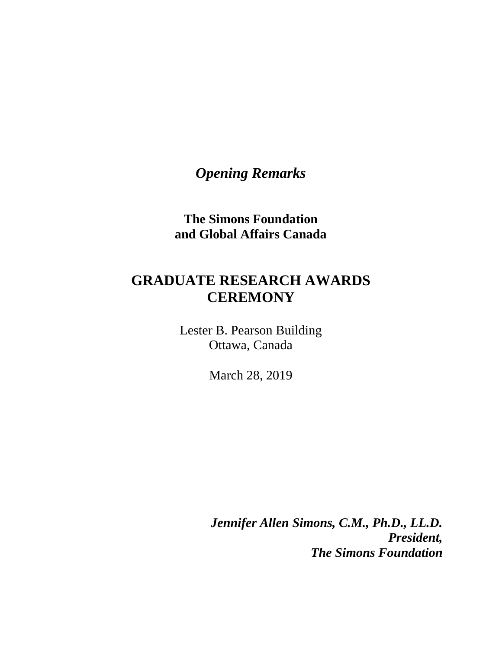*Opening Remarks*

**The Simons Foundation and Global Affairs Canada**

## **GRADUATE RESEARCH AWARDS CEREMONY**

Lester B. Pearson Building Ottawa, Canada

March 28, 2019

*Jennifer Allen Simons, C.M., Ph.D., LL.D. President, The Simons Foundation*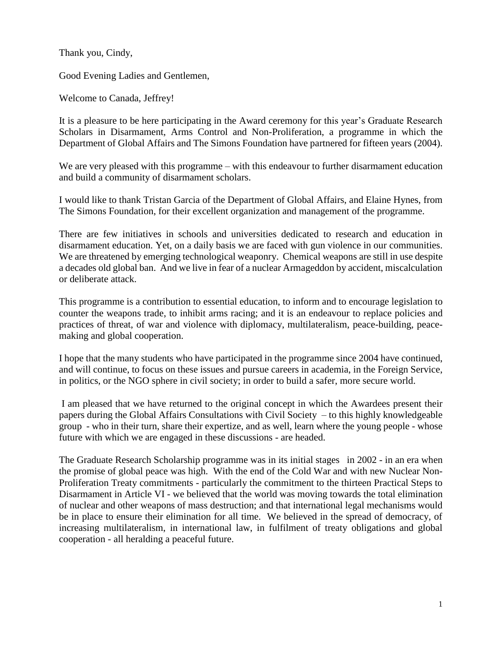Thank you, Cindy,

Good Evening Ladies and Gentlemen,

Welcome to Canada, Jeffrey!

It is a pleasure to be here participating in the Award ceremony for this year's Graduate Research Scholars in Disarmament, Arms Control and Non-Proliferation, a programme in which the Department of Global Affairs and The Simons Foundation have partnered for fifteen years (2004).

We are very pleased with this programme – with this endeavour to further disarmament education and build a community of disarmament scholars.

I would like to thank Tristan Garcia of the Department of Global Affairs, and Elaine Hynes, from The Simons Foundation, for their excellent organization and management of the programme.

There are few initiatives in schools and universities dedicated to research and education in disarmament education. Yet, on a daily basis we are faced with gun violence in our communities. We are threatened by emerging technological weaponry. Chemical weapons are still in use despite a decades old global ban. And we live in fear of a nuclear Armageddon by accident, miscalculation or deliberate attack.

This programme is a contribution to essential education, to inform and to encourage legislation to counter the weapons trade, to inhibit arms racing; and it is an endeavour to replace policies and practices of threat, of war and violence with diplomacy, multilateralism, peace-building, peacemaking and global cooperation.

I hope that the many students who have participated in the programme since 2004 have continued, and will continue, to focus on these issues and pursue careers in academia, in the Foreign Service, in politics, or the NGO sphere in civil society; in order to build a safer, more secure world.

I am pleased that we have returned to the original concept in which the Awardees present their papers during the Global Affairs Consultations with Civil Society – to this highly knowledgeable group - who in their turn, share their expertize, and as well, learn where the young people - whose future with which we are engaged in these discussions - are headed.

The Graduate Research Scholarship programme was in its initial stages in 2002 - in an era when the promise of global peace was high. With the end of the Cold War and with new Nuclear Non-Proliferation Treaty commitments - particularly the commitment to the thirteen Practical Steps to Disarmament in Article VI - we believed that the world was moving towards the total elimination of nuclear and other weapons of mass destruction; and that international legal mechanisms would be in place to ensure their elimination for all time. We believed in the spread of democracy, of increasing multilateralism, in international law, in fulfilment of treaty obligations and global cooperation - all heralding a peaceful future.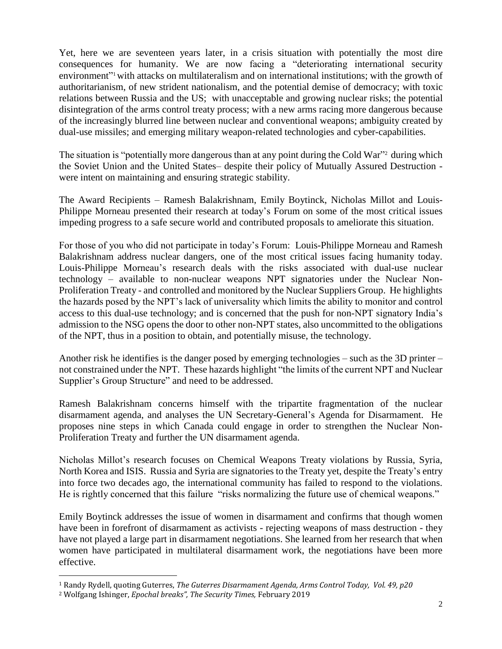Yet, here we are seventeen years later, in a crisis situation with potentially the most dire consequences for humanity. We are now facing a "deteriorating international security environment"<sup>1</sup> with attacks on multilateralism and on international institutions; with the growth of authoritarianism, of new strident nationalism, and the potential demise of democracy; with toxic relations between Russia and the US; with unacceptable and growing nuclear risks; the potential disintegration of the arms control treaty process; with a new arms racing more dangerous because of the increasingly blurred line between nuclear and conventional weapons; ambiguity created by dual-use missiles; and emerging military weapon-related technologies and cyber-capabilities.

The situation is "potentially more dangerous than at any point during the Cold War" <sup>2</sup> during which the Soviet Union and the United States– despite their policy of Mutually Assured Destruction were intent on maintaining and ensuring strategic stability.

The Award Recipients – Ramesh Balakrishnam, Emily Boytinck, Nicholas Millot and Louis-Philippe Morneau presented their research at today's Forum on some of the most critical issues impeding progress to a safe secure world and contributed proposals to ameliorate this situation.

For those of you who did not participate in today's Forum: Louis-Philippe Morneau and Ramesh Balakrishnam address nuclear dangers, one of the most critical issues facing humanity today. Louis-Philippe Morneau's research deals with the risks associated with dual-use nuclear technology – available to non-nuclear weapons NPT signatories under the Nuclear Non-Proliferation Treaty - and controlled and monitored by the Nuclear Suppliers Group. He highlights the hazards posed by the NPT's lack of universality which limits the ability to monitor and control access to this dual-use technology; and is concerned that the push for non-NPT signatory India's admission to the NSG opens the door to other non-NPT states, also uncommitted to the obligations of the NPT, thus in a position to obtain, and potentially misuse, the technology.

Another risk he identifies is the danger posed by emerging technologies – such as the 3D printer – not constrained under the NPT. These hazards highlight "the limits of the current NPT and Nuclear Supplier's Group Structure" and need to be addressed.

Ramesh Balakrishnam concerns himself with the tripartite fragmentation of the nuclear disarmament agenda, and analyses the UN Secretary-General's Agenda for Disarmament. He proposes nine steps in which Canada could engage in order to strengthen the Nuclear Non-Proliferation Treaty and further the UN disarmament agenda.

Nicholas Millot's research focuses on Chemical Weapons Treaty violations by Russia, Syria, North Korea and ISIS. Russia and Syria are signatories to the Treaty yet, despite the Treaty's entry into force two decades ago, the international community has failed to respond to the violations. He is rightly concerned that this failure "risks normalizing the future use of chemical weapons."

Emily Boytinck addresses the issue of women in disarmament and confirms that though women have been in forefront of disarmament as activists - rejecting weapons of mass destruction - they have not played a large part in disarmament negotiations. She learned from her research that when women have participated in multilateral disarmament work, the negotiations have been more effective.

 $\overline{a}$ 

<sup>1</sup> Randy Rydell, quoting Guterres, *The Guterres Disarmament Agenda, Arms Control Today, Vol. 49, p20*

<sup>2</sup> Wolfgang Ishinger, *Epochal breaks", The Security Times,* February 2019